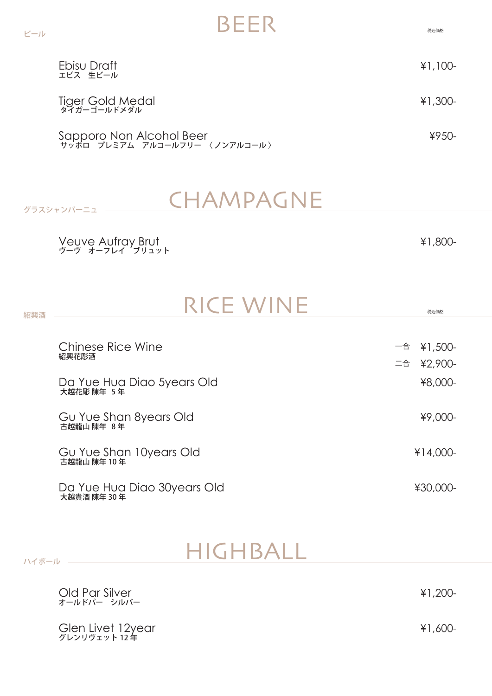| Ebisu Draft<br>エビス 生ビール                                   | $¥1,100-$ |
|-----------------------------------------------------------|-----------|
| Tiger Gold Medal<br>848-3-11-12811                        | $¥1,300-$ |
| Sapporo Non Alcohol Beer<br>サッポロ プレミアム アルコールフリー 〈ノンアルコール〉 | $49.50 -$ |

 $BEER$ 

## CHAMPAGNE

¥1,800-

Veuve Aufray Brut ヴーヴ オーフレイ ブリュット

グラスシャンパーニュ

ハイボール 一

| 紹興酒 | <b>RICE WINE</b>                            |    | 税込価格       |
|-----|---------------------------------------------|----|------------|
|     |                                             |    |            |
|     | Chinese Rice Wine<br>紹興花彫酒                  | 一合 | ¥1,500-    |
|     |                                             |    | 二合 ¥2,900- |
|     | Da Yue Hua Diao 5years Old<br>大越花彫 陳年 5年    |    | ¥8,000-    |
|     | Gu Yue Shan 8years Old<br>古越龍山 陳年 8年        |    | ¥9,000-    |
|     | Gu Yue Shan 10years Old<br>古越龍山 陳年10年       |    | $¥14,000-$ |
|     | Da Yue Hua Diao 30 years Old<br>大越貴酒 陳年 30年 |    | ¥30,000-   |

### HIGHBALL

Glen Livet 12year グレンリヴェット 12 年 ¥1,600- Old Par Silver オールドパー シルバー ¥1,200-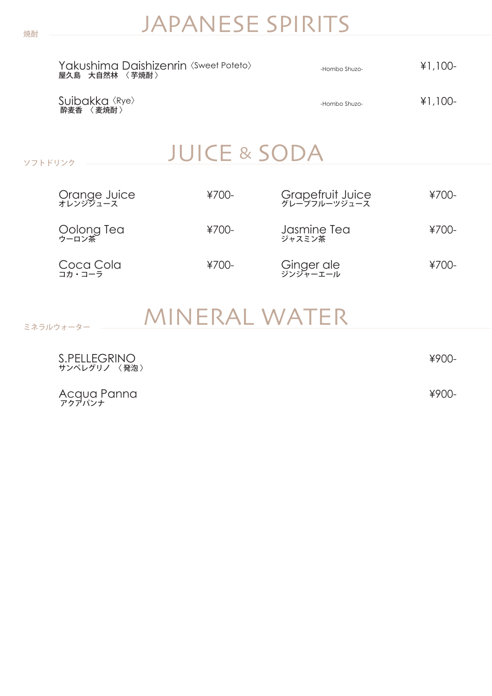## JAPANESE SPIRITS

| Yakushima Daishizenrin <sweet poteto=""><br/>屋久島 大自然林<br/>〈 芊焼酎 〉</sweet> | -Hombo Shuzo- | $¥1,100-$ |
|---------------------------------------------------------------------------|---------------|-----------|
| Suibakka <rye><br/>〈麦焼酎〉<br/>酔麦香</rye>                                    | -Hombo Shuzo- | $¥1,100-$ |

JUICE & SODA

| Orange Juice<br>オレンジシュース | $4700-$  | Grapefruit Juice<br>グレープフルーツジュース | ¥700-    |
|--------------------------|----------|----------------------------------|----------|
| Oolong Tea<br>ゥーロン茶      | $4700 -$ | Jasmine Tea<br>ジャスミン茶            | $4700 -$ |
| Coca Cola<br>コカ・コーラ      | $¥700-$  | Ginger ale<br>ジンジャーエール           | $¥700-$  |

## MINERAL WATER

| S.PELLEGRINO<br>サンペレグリノ 〈発泡〉 | $¥900-$ |
|------------------------------|---------|
| Acqua Panna                  | $¥900-$ |

ソフトドリンク

ミネラルウォーター

アクアパンナ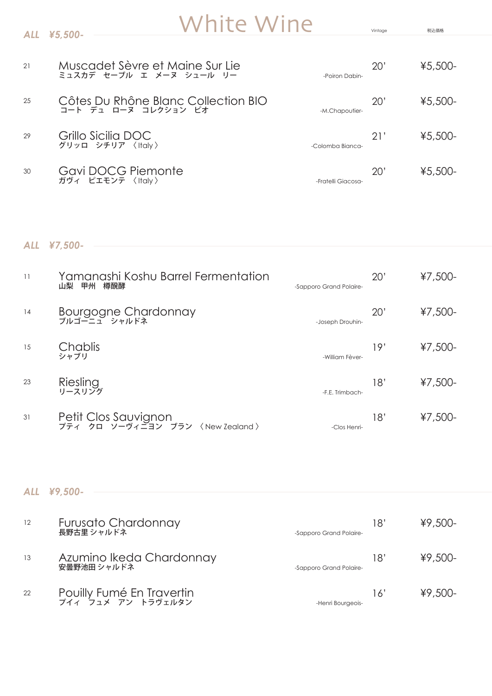# White Wine Vintage RAZER

| 21 | Muscadet Sèvre et Maine Sur Lie<br>ミュスカデ セーブル エ メーヌ シュール リー | -Poiron Dabin-     | 20' | $45,500-$ |
|----|-------------------------------------------------------------|--------------------|-----|-----------|
| 25 | Côtes Du Rhône Blanc Collection BIO<br>コート デュ ローヌ コレクション ビオ | -M.Chapoutier-     | 20' | $45,500-$ |
| 29 | Grillo Sicilia DOC<br>グリッロ シチリア 〈Italy〉                     | -Colomba Bianca-   | 21' | $45,500-$ |
| 30 | Gavi DOCG Piemonte<br>ガヴィ ピエモンテ 〈Italy〉                     | -Fratelli Giacosa- | 20' | $45,500-$ |

#### *ALL ¥7,500-*

*ALL ¥5,500-*

| 11 | Yamanashi Koshu Barrel Fermentation<br>樽醗酵<br>山梨<br>甲州   | -Sapporo Grand Polaire- | 20' | $47,500-$ |
|----|----------------------------------------------------------|-------------------------|-----|-----------|
| 14 | Bourgogne Chardonnay<br>ブルゴーニュ シャルドネ                     | -Joseph Drouhin-        | 20' | $47,500-$ |
| 15 | Chablis<br>シャブリ                                          | -William Fèver-         | 19' | $47,500-$ |
| 23 | Riesling<br>リースリング                                       | -F.E. Trimbach-         | 18' | $47,500-$ |
| 31 | Petit Clos Sauvignon<br>プティ クロ ソーヴィニヨン ブラン 〈New Zealand〉 | -Clos Henri-            | 18' | $47,500-$ |

#### *ALL ¥9,500-*

| 12 | Furusato Chardonnay<br>長野古里シャルドネ                   | -Sapporo Grand Polaire- | 18' | $49,500-$ |
|----|----------------------------------------------------|-------------------------|-----|-----------|
| 13 | Azumino Ikeda Chardonnay<br><sub>安曇野池田 シャルドネ</sub> | -Sapporo Grand Polaire- | 18' | $49,500-$ |
| 22 | Pouilly Fumé En Travertin<br>The Tax TV Fustives   | -Henri Bourgeois-       | 16' | $49,500-$ |